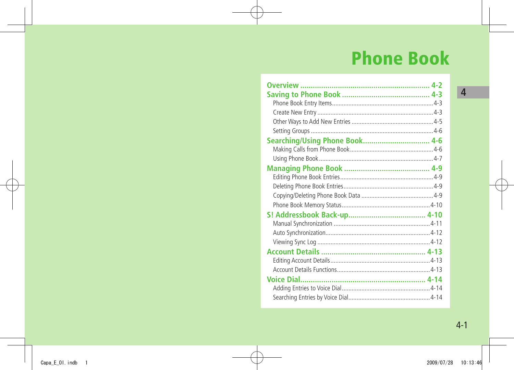# **Phone Book**

| Searching/Using Phone Book 4-6 |  |
|--------------------------------|--|
|                                |  |
|                                |  |
|                                |  |
|                                |  |
|                                |  |
|                                |  |
|                                |  |
|                                |  |
|                                |  |
|                                |  |
|                                |  |
|                                |  |
|                                |  |
|                                |  |
|                                |  |
|                                |  |
|                                |  |
|                                |  |

 $4 - 1$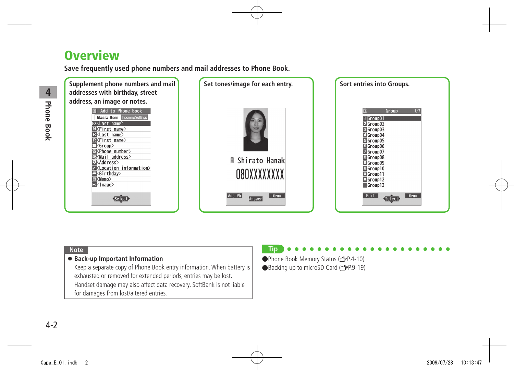# <span id="page-1-0"></span>**Overview**

**Save frequently used phone numbers and mail addresses to Phone Book.**



#### **Note**

#### ● **Back-up Important Information**

Keep a separate copy of Phone Book entry information. When battery is exhausted or removed for extended periods, entries may be lost. Handset damage may also affect data recovery. SoftBank is not liable for damages from lost/altered entries.

### **Tip**

●Phone Book Memory Status (全P.4-10) ●Backing up to microSD Card (子P.9-19)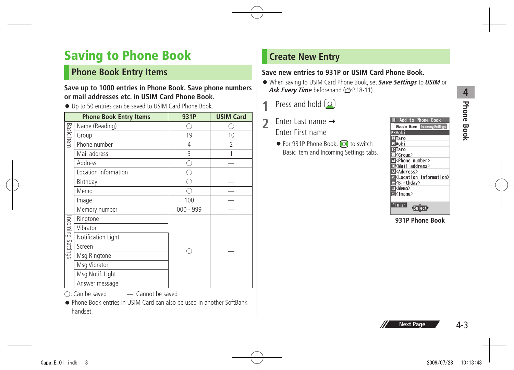# **Phone Book Hone Book**

# <span id="page-2-0"></span>**Saving to Phone Book**

### **Phone Book Entry Items**

#### **Save up to 1000 entries in Phone Book. Save phone numbers or mail addresses etc. in USIM Card Phone Book.**

● Up to 50 entries can be saved to USIM Card Phone Book.

|                   | <b>Phone Book Entry Items</b> | 931P        | <b>USIM Card</b> |
|-------------------|-------------------------------|-------------|------------------|
|                   | Name (Reading)                |             |                  |
| <b>Basic item</b> | Group                         | 19          | 10               |
|                   | Phone number                  | 4           | 2                |
|                   | Mail address                  | 3           | 1                |
|                   | Address                       |             |                  |
|                   | Location information          |             |                  |
|                   | Birthday                      |             |                  |
|                   | Memo                          |             |                  |
|                   | Image                         | 100         |                  |
|                   | Memory number                 | $000 - 999$ |                  |
|                   | Ringtone                      |             |                  |
|                   | Vibrator                      |             |                  |
| Incoming Settings | Notification Light            |             |                  |
|                   | Screen                        |             |                  |
|                   | Msg Ringtone                  |             |                  |
|                   | Msg Vibrator                  |             |                  |
|                   | Msg Notif. Light              |             |                  |
|                   | Answer message                |             |                  |

○: Can be saved ̶: Cannot be saved

● Phone Book entries in USIM Card can also be used in another SoftBank handset.

# **Create New Entry**

### **Save new entries to 931P or USIM Card Phone Book.**

- When saving to USIM Card Phone Book, set **Save Settings** to **USIM** or Ask Every Time beforehand (**FP.18-11**).
- **1** Press and hold  $\Omega$
- 2 Enter Last name → Enter First name
	- For 931P Phone Book, **o** to switch Basic item and Incoming Settings tabs.

| Add to Phone Book                                 |
|---------------------------------------------------|
| <b>Basic Item Incoming Settings</b>               |
| <b>ExAoki</b>                                     |
| <b>NTaro</b>                                      |
| RAoki                                             |
| $R$ Taro                                          |
| ⊡≺Group>                                          |
| ⊠ <phone number=""></phone>                       |
| ⊠ <mail address=""></mail>                        |
| ⊡≮Address>                                        |
| <b>&amp;</b> <location information=""></location> |
| <b>N</b> <birthday></birthday>                    |
| 国 <memo></memo>                                   |
| 国 <image/>                                        |
|                                                   |
| Finish                                            |

**931P Phone Book**

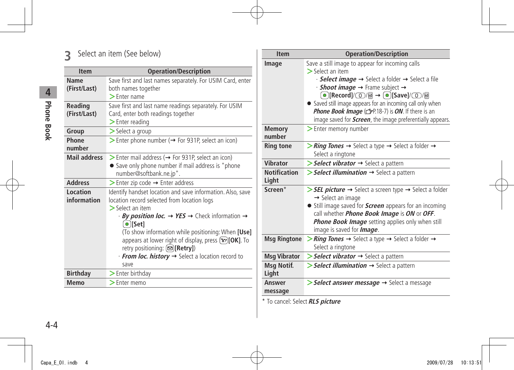# **3** Select an item (See below)

| <b>Item</b>                    | <b>Operation/Description</b>                                                                                                                                                                                                                                                                       |
|--------------------------------|----------------------------------------------------------------------------------------------------------------------------------------------------------------------------------------------------------------------------------------------------------------------------------------------------|
| Name<br>(First/Last)           | Save first and last names separately. For USIM Card, enter<br>both names together<br>$\blacktriangleright$ Fnter name                                                                                                                                                                              |
| <b>Reading</b><br>(First/Last) | Save first and last name readings separately. For USIM<br>Card, enter both readings together<br>$\blacktriangleright$ Enter reading                                                                                                                                                                |
| Group                          | $>$ Select a group                                                                                                                                                                                                                                                                                 |
| Phone<br>number                | Senter phone number ( $\rightarrow$ For 931P, select an icon)                                                                                                                                                                                                                                      |
| <b>Mail address</b>            | $\triangleright$ Enter mail address ( $\rightarrow$ For 931P, select an icon)<br>• Save only phone number if mail address is "phone<br>number@softbank.ne.jp".                                                                                                                                     |
| <b>Address</b>                 | $\triangleright$ Enter zip code $\rightarrow$ Enter address                                                                                                                                                                                                                                        |
| Location<br>information        | Identify handset location and save information. Also, save<br>location record selected from location logs<br>$\geq$ Select an item                                                                                                                                                                 |
|                                | · By position loc. → YES → Check information →<br>$\bullet$ [Set]<br>(To show information while positioning: When [Use]<br>appears at lower right of display, press $\mathbf{F}$ [OK]. To<br>retry positioning: ( $\infty$ ) [Retry])<br>· From loc. history → Select a location record to<br>save |
| <b>Birthday</b>                | > Enter birthday                                                                                                                                                                                                                                                                                   |
| <b>Memo</b>                    | $\geq$ Enter memo                                                                                                                                                                                                                                                                                  |
|                                |                                                                                                                                                                                                                                                                                                    |

| <b>Item</b>                       | <b>Operation/Description</b>                                                         |
|-----------------------------------|--------------------------------------------------------------------------------------|
| Image                             | Save a still image to appear for incoming calls                                      |
|                                   | $\geq$ Select an item                                                                |
|                                   | · Select image → Select a folder → Select a file                                     |
|                                   | $\cdot$ Shoot image $\rightarrow$ Frame subject $\rightarrow$                        |
|                                   |                                                                                      |
|                                   | Saved still image appears for an incoming call only when                             |
|                                   | Phone Book Image (SP.18-7) is ON. If there is an                                     |
|                                   | image saved for <i>Screen</i> , the image preferentially appears.                    |
| <b>Memory</b>                     | > Enter memory number                                                                |
| number                            |                                                                                      |
| <b>Ring tone</b>                  | > Ring Tones $\rightarrow$ Select a type $\rightarrow$ Select a folder $\rightarrow$ |
|                                   | Select a ringtone                                                                    |
| <b>Vibrator</b>                   | Select vibrator -> Select a pattern                                                  |
| <b>Notification</b>               | $\triangleright$ Select illumination $\rightarrow$ Select a pattern                  |
| Light                             |                                                                                      |
| Screen*                           | > SEL picture → Select a screen type → Select a folder                               |
|                                   | → Select an image                                                                    |
|                                   | • Still image saved for <b>Screen</b> appears for an incoming                        |
|                                   | call whether <i>Phone Book Image</i> is ON or OFF.                                   |
|                                   | Phone Book Image setting applies only when still                                     |
|                                   | image is saved for <b>Image</b> .                                                    |
| <b>Msg Ringtone</b>               | > Ring Tones $\rightarrow$ Select a type $\rightarrow$ Select a folder $\rightarrow$ |
|                                   | Select a ringtone                                                                    |
| <b>Msg Vibrator</b>               | Select vibrator  ightare Select a pattern                                            |
| Msg Notif.                        | $\triangleright$ Select illumination $\rightarrow$ Select a pattern                  |
| Light                             |                                                                                      |
| <b>Answer</b>                     | > Select answer message → Select a message                                           |
| message                           |                                                                                      |
| $*$ To consoli Colore DIC with $$ |                                                                                      |

\* To cancel: Select **RLS picture**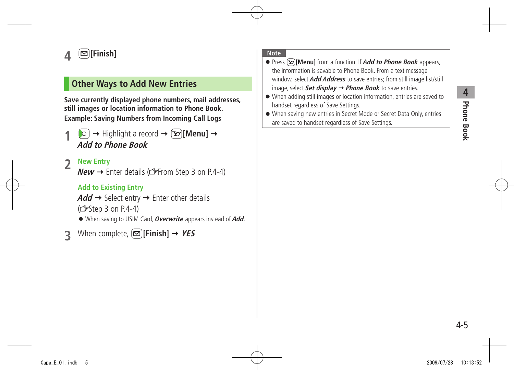# **Phone Book 4** Phone Book

# <span id="page-4-0"></span>**4 [Finish]**

### **Other Ways to Add New Entries**

**Save currently displayed phone numbers, mail addresses, still images or location information to Phone Book. Example: Saving Numbers from Incoming Call Logs**

 $\left[\bigcirc\right]$   $\rightarrow$  Highlight a record  $\rightarrow$   $\left[\bigcirc\right]$  [Menu]  $\rightarrow$ **Add to Phone Book**

### **2 New Entry**

 $New \rightarrow$  Enter details ( $\mathcal{F}$ From Step 3 on P.4-4)

### **Add to Existing Entry**

 $Add \rightarrow$  Select entry  $\rightarrow$  Enter other details  $(\mathcal{F}$ Step 3 on P.4-4)

● When saving to USIM Card, **Overwrite** appears instead of **Add**.

**33** When complete,  $[\infty]$  **[Finish]**  $\rightarrow$  **YES** 

#### **Note**

- Press **[Menu]** from a function. If **Add to Phone Book** appears, the information is savable to Phone Book. From a text message window, select **Add Address** to save entries; from still image list/still image, select **Set display Phone Book** to save entries.
- When adding still images or location information, entries are saved to handset regardless of Save Settings.
- When saving new entries in Secret Mode or Secret Data Only, entries are saved to handset regardless of Save Settings.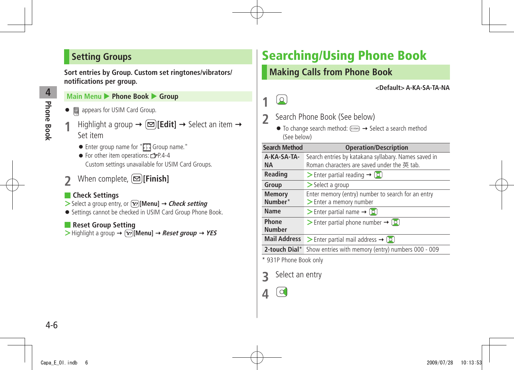## <span id="page-5-0"></span>**Setting Groups**

**Sort entries by Group. Custom set ringtones/vibrators/ notifications per group.**

#### **Main Menu ▶ Phone Book ▶ Group**

- 圖 appears for USIM Card Group.
- $\text{Highlight a group} \rightarrow \text{[}$  **[Edit]**  $\rightarrow$  Select an item  $\rightarrow$ Set item
	- $\bullet$  Enter group name for " $\bigcap$  Group name."
	- $\bullet$  For other item operations:  $\sim$   $\neq$  P.4-4 Custom settings unavailable for USIM Card Groups.
- **2** When complete, **[Finish]**

### ■ **Check Settings**

- $>$  Select a group entry, or  $\boxed{\mathbf{x}}$  [Menu]  $\rightarrow$  *Check setting*
- Settings cannot be checked in USIM Card Group Phone Book.

### ■ **Reset Group Setting**

 $\triangleright$  Highlight a group  $\rightarrow$   $\boxed{\mathbf{x}}$  [Menu]  $\rightarrow$  *Reset group*  $\rightarrow$  *YES* 

# **Searching/Using Phone Book**

### **Making Calls from Phone Book**

**<Default> A-KA-SA-TA-NA**



**1**

- **2** Search Phone Book (See below)
	- $\bullet$  To change search method:  $(\overline{p_1 p_2 q_3}) \rightarrow$  Select a search method (See below)

| <b>Search Method</b>   | <b>Operation/Description</b>                             |
|------------------------|----------------------------------------------------------|
| A-KA-SA-TA-            | Search entries by katakana syllabary. Names saved in     |
| <b>NA</b>              | Roman characters are saved under the 英 tab.              |
| <b>Reading</b>         | $\triangleright$ Enter partial reading $\rightarrow$ [O] |
| Group                  | $\triangleright$ Select a group                          |
| <b>Memory</b>          | Enter memory (entry) number to search for an entry       |
| Number*                | > Enter a memory number                                  |
| Name                   | > Enter partial name $\rightarrow$ [o]                   |
| Phone                  | Senter partial phone number $\rightarrow$ [0]            |
| <b>Number</b>          |                                                          |
| <b>Mail Address</b>    | Senter partial mail address $\rightarrow$ ( $\bullet$ )  |
| 2-touch Dial*          | Show entries with memory (entry) numbers 000 - 009       |
| * 931P Phone Book only |                                                          |

**3** Select an entry

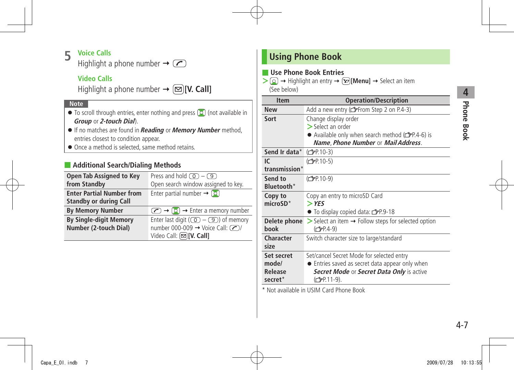### <span id="page-6-0"></span>**5 Voice Calls**

Highlight a phone number  $\rightarrow \infty$ 

### **Video Calls**

Highlight a phone number  $\rightarrow \Box$  [V. Call]

#### **Note**

- $\bullet$  To scroll through entries, enter nothing and press  $\circledcirc$  (not available in **Group** or **2-touch Dial**).
- If no matches are found in **Reading** or **Memory Number** method, entries closest to condition appear.
- Once a method is selected, same method retains.

### ■ **Additional Search/Dialing Methods**

| <b>Open Tab Assigned to Key</b><br>from Standby                   | Press and hold $\circled{0}$ – $\circled{9}$<br>Open search window assigned to key.                                             |
|-------------------------------------------------------------------|---------------------------------------------------------------------------------------------------------------------------------|
| <b>Enter Partial Number from</b><br><b>Standby or during Call</b> | Enter partial number $\rightarrow$ [0]                                                                                          |
| <b>By Memory Number</b>                                           | $\left(\bigcirc$ $\rightarrow$ $\left(\circ\right)$ $\rightarrow$ Enter a memory number                                         |
| <b>By Single-digit Memory</b><br>Number (2-touch Dial)            | Enter last digit ( $\circled{)}$ – $\circled{9}$ ) of memory<br>number 000-009 → Voice Call: (2)<br>Video Call: $[•]$ [V. Call] |

### **Using Phone Book**

### ■ **Use Phone Book Entries**

 $\geq$   $\circledcirc$   $\rightarrow$  Highlight an entry  $\rightarrow$   $\circledcirc$  **[Menu]**  $\rightarrow$  Select an item

(See below)

| <b>Item</b>   | <b>Operation/Description</b>                                                   |
|---------------|--------------------------------------------------------------------------------|
| <b>New</b>    | Add a new entry (reffrom Step 2 on P.4-3)                                      |
| Sort          | Change display order                                                           |
|               | > Select an order                                                              |
|               | • Available only when search method (rep.4-6) is                               |
|               | Name, Phone Number or Mail Address.                                            |
| Send Ir data* | (C <sub>J</sub> P.10-3)                                                        |
| IC            | (C <sub>FP</sub> .10-5)                                                        |
| transmission* |                                                                                |
| Send to       | (C <sub>FP.10-9</sub> )                                                        |
| Bluetooth*    |                                                                                |
| Copy to       | Copy an entry to microSD Card                                                  |
| $microSD*$    | $>$ YES                                                                        |
|               | $\bullet$ To display copied data: $\mathbb{Z}$ P.9-18                          |
| Delete phone  | $\triangleright$ Select an item $\rightarrow$ Follow steps for selected option |
| book          | (C <sub>J</sub> P.4-9)                                                         |
| Character     | Switch character size to large/standard                                        |
| size          |                                                                                |
| Set secret    | Set/cancel Secret Mode for selected entry                                      |
| mode/         | • Entries saved as secret data appear only when                                |
| Release       | Secret Mode or Secret Data Only is active                                      |
| secret*       | (C <sub>J</sub> P 11-9).                                                       |

\* Not available in USIM Card Phone Book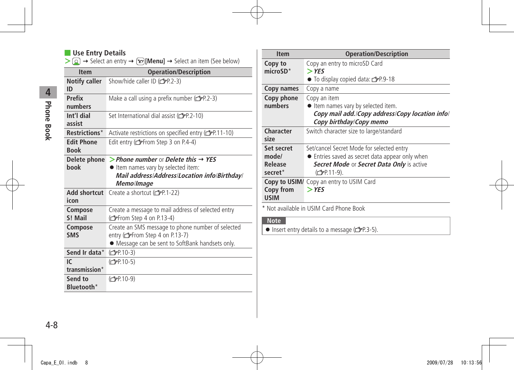### ■ **Use Entry Details**

 $\geq$   $\geq$   $\rightarrow$  Select an entry  $\rightarrow$   $\geq$  **[Menu]**  $\rightarrow$  Select an item (See below)

| <b>Item</b>                      | <b>Operation/Description</b>                                                                                                              |
|----------------------------------|-------------------------------------------------------------------------------------------------------------------------------------------|
| <b>Notify caller</b><br>ID       | Show/hide caller ID (crep-2-3)                                                                                                            |
| Prefix<br>numbers                | Make a call using a prefix number $(\mathcal{F}P.2-3)$                                                                                    |
| Int'l dial<br>assist             | Set International dial assist (free 2-10)                                                                                                 |
| <b>Restrictions*</b>             | Activate restrictions on specified entry ( <a> <sub>T</sub>P.11-10)</a>                                                                   |
| <b>Edit Phone</b><br><b>Book</b> | Edit entry (reffrom Step 3 on P.4-4)                                                                                                      |
| Delete phone                     | > Phone number or Delete this $\rightarrow$ YES                                                                                           |
| hook                             | Item names vary by selected item:                                                                                                         |
|                                  | Mail address/Address/Location info/Birthday/                                                                                              |
|                                  | Memo/Image                                                                                                                                |
| Add shortcut<br>icon             | Create a shortcut (real-22)                                                                                                               |
| Compose<br>S! Mail               | Create a message to mail address of selected entry<br>(FFrom Step 4 on P.13-4)                                                            |
| Compose<br><b>SMS</b>            | Create an SMS message to phone number of selected<br>entry (reffrom Step 4 on P.13-7)<br>• Message can be sent to SoftBank handsets only. |
| Send Ir data*                    | (C <sub>J</sub> P.10-3)                                                                                                                   |
| IC                               | (C <sub>FP</sub> .10-5)                                                                                                                   |
| transmission*                    |                                                                                                                                           |
| Send to<br>Bluetooth*            | (C <sub>FP</sub> 10-9)                                                                                                                    |

| <b>Item</b>         | <b>Operation/Description</b>                          |
|---------------------|-------------------------------------------------------|
| Copy to             | Copy an entry to microSD Card                         |
| $microSD*$          | $>$ YES                                               |
|                     | $\bullet$ To display copied data: $\mathbb{Z}$ P.9-18 |
| Copy names          | Copy a name                                           |
| Copy phone          | Copy an item                                          |
| numbers             | ● Item names vary by selected item.                   |
|                     | Copy mail add./Copy address/Copy location info/       |
|                     | Copy birthday/Copy memo                               |
| Character           | Switch character size to large/standard               |
| size                |                                                       |
| Set secret          | Set/cancel Secret Mode for selected entry             |
| mode/               | • Entries saved as secret data appear only when       |
| <b>Release</b>      | Secret Mode or Secret Data Only is active             |
| secret <sup>*</sup> | (C <sub>J</sub> PP.11-9).                             |
| Copy to USIM/       | Copy an entry to USIM Card                            |
| Copy from           | $>$ YES                                               |
| <b>USIM</b>         |                                                       |
|                     |                                                       |

\* Not available in USIM Card Phone Book

#### **Note**

 $\bullet$  Insert entry details to a message ( $\mathcal{F}$ P.3-5).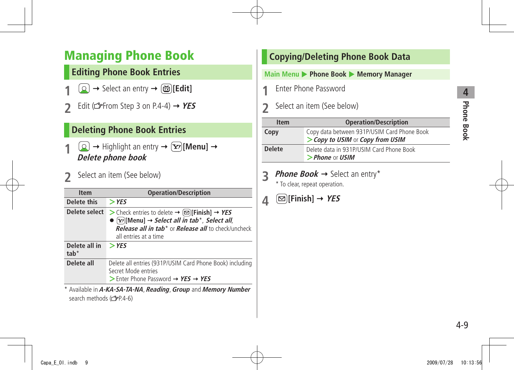# <span id="page-8-0"></span>**Managing Phone Book**

# **Editing Phone Book Entries**

- $\boxed{0}$   $\rightarrow$  Select an entry  $\rightarrow$   $\boxed{\text{m}}$  [**Edit**]
- Edit ( $\mathcal{L}$ From Step 3 on P.4-4)  $\rightarrow$  **YES**

### **Deleting Phone Book Entries**

- $\bigcirc$   $\rightarrow$  Highlight an entry  $\rightarrow$   $\bigcirc$  [**Menu**]  $\rightarrow$ **Delete phone book**
- **2** Select an item (See below)

| <b>Item</b>                 | <b>Operation/Description</b>                                                                                                                                                                                                                                    |
|-----------------------------|-----------------------------------------------------------------------------------------------------------------------------------------------------------------------------------------------------------------------------------------------------------------|
| Delete this                 | $>$ YES                                                                                                                                                                                                                                                         |
| Delete select               | > Check entries to delete $\rightarrow \infty$ [Finish] → YES<br>$\bullet$ [x <sup>2</sup> ][Menu] $\rightarrow$ Select all in tab <sup>*</sup> , Select all,<br><b>Release all in tab<sup>*</sup> or Release all to check/uncheck</b><br>all entries at a time |
| Delete all in<br>$t$ ah $*$ | $>$ YES                                                                                                                                                                                                                                                         |
| Delete all                  | Delete all entries (931P/USIM Card Phone Book) including<br>Secret Mode entries<br>$\triangleright$ Enter Phone Password $\rightarrow$ YES $\rightarrow$ YES                                                                                                    |

\* Available in **A-KA-SA-TA-NA**, **Reading**, **Group** and **Memory Number** search methods (r P.4-6)

# **Copying/Deleting Phone Book Data Main Menu ▶ Phone Book ▶ Memory Manager 1** Enter Phone Password **2** Select an item (See below) **Item Operation/Description Copy** Copy data between 931P/USIM Card Phone Book

**>Copy to USIM** or **Copy from USIM Delete** Delete data in 931P/USIM Card Phone Book **>Phone** or **USIM**

**3 Phone Book**  $\rightarrow$  Select an entry\*

\* To clear, repeat operation.

# $\mathbf{A} \quad \boxed{\text{S}}$  [Finish]  $\rightarrow$  *YES*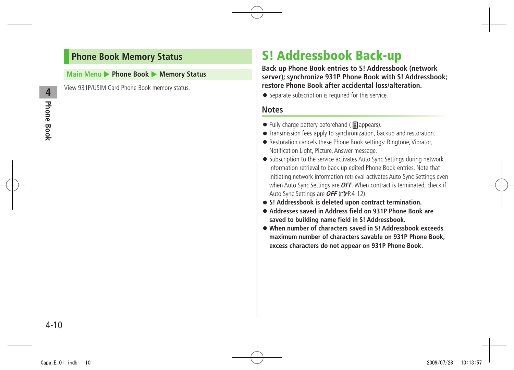### <span id="page-9-0"></span>**Phone Book Memory Status**

#### **Main Menu > Phone Book > Memory Status**

View 931P/USIM Card Phone Book memory status.

# **S! Addressbook Back-up**

**Back up Phone Book entries to S! Addressbook (network server); synchronize 931P Phone Book with S! Addressbook; restore Phone Book after accidental loss/alteration.**

● Separate subscription is required for this service.

### **Notes**

- $\bullet$  Fully charge battery beforehand ( $\bullet$  appears).
- Transmission fees apply to synchronization, backup and restoration.
- Restoration cancels these Phone Book settings: Ringtone, Vibrator, Notification Light, Picture, Answer message.
- Subscription to the service activates Auto Sync Settings during network information retrieval to back up edited Phone Book entries. Note that initiating network information retrieval activates Auto Sync Settings even when Auto Sync Settings are **OFF**. When contract is terminated, check if Auto Sync Settings are **OFF** (**P**P.4-12).
- **S! Addressbook is deleted upon contract termination.**
- **Addresses saved in Address field on 931P Phone Book are saved to building name field in S! Addressbook.**
- **When number of characters saved in S! Addressbook exceeds maximum number of characters savable on 931P Phone Book, excess characters do not appear on 931P Phone Book.**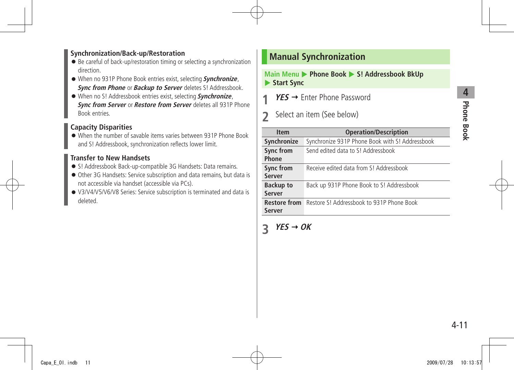### <span id="page-10-0"></span>**Synchronization/Back-up/Restoration**

- Be careful of back-up/restoration timing or selecting a synchronization direction.
- When no 931P Phone Book entries exist, selecting **Synchronize**, **Sync from Phone** or **Backup to Server** deletes S! Addressbook.
- When no S! Addressbook entries exist, selecting **Synchronize**, **Sync from Server** or **Restore from Server** deletes all 931P Phone Book entries.

### **Capacity Disparities**

● When the number of savable items varies between 931P Phone Book and S! Addressbook, synchronization reflects lower limit.

### **Transfer to New Handsets**

- S! Addressbook Back-up-compatible 3G Handsets: Data remains.
- Other 3G Handsets: Service subscription and data remains, but data is not accessible via handset (accessible via PCs).
- V3/V4/V5/V6/V8 Series: Service subscription is terminated and data is deleted.

### **Manual Synchronization**

#### **Main Menu > Phone Book > S! Addressbook BkUp Start Sync**

- **YES → Enter Phone Password**
- **2** Select an item (See below)

| <b>Item</b>         | <b>Operation/Description</b>                    |
|---------------------|-------------------------------------------------|
| Synchronize         | Synchronize 931P Phone Book with S! Addressbook |
| <b>Sync from</b>    | Send edited data to S! Addressbook              |
| Phone               |                                                 |
| <b>Sync from</b>    | Receive edited data from S! Addressbook         |
| Server              |                                                 |
| <b>Backup to</b>    | Back up 931P Phone Book to S! Addressbook       |
| Server              |                                                 |
| <b>Restore from</b> | Restore S! Addressbook to 931P Phone Book       |
| <b>Server</b>       |                                                 |
|                     |                                                 |

# $\overline{3}$  **YES**  $\rightarrow$  OK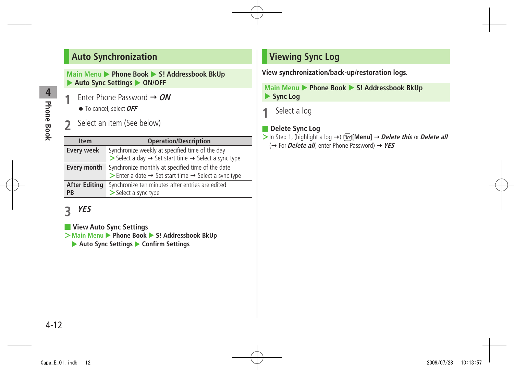### <span id="page-11-0"></span>**Auto Synchronization**

**Main Menu > Phone Book > S! Addressbook BkUp** ▶ Auto Sync Settings ▶ ON/OFF

- **1** Enter Phone Password **ON** ● To cancel, select **OFF**
- **2** Select an item (See below)

| <b>Item</b>                       | <b>Operation/Description</b>                                                                                                          |
|-----------------------------------|---------------------------------------------------------------------------------------------------------------------------------------|
| <b>Every week</b>                 | Synchronize weekly at specified time of the day<br>Select a day $\rightarrow$ Set start time $\rightarrow$ Select a sync type         |
| <b>Every month</b>                | Synchronize monthly at specified time of the date<br>Select a sync type $\rightarrow$ Set start time $\rightarrow$ Select a sync type |
| <b>After Editing</b><br><b>PB</b> | Synchronize ten minutes after entries are edited<br>> Select a sync type                                                              |

# **3 YES**

### ■ **View Auto Sync Settings**

 $\geq$  Main Menu  $\geq$  Phone Book  $\geq$  S! Addressbook BkUp

▶ Auto Sync Settings ▶ Confirm Settings

# **Viewing Sync Log**

**View synchronization/back-up/restoration logs.**

**Main Menu > Phone Book > S! Addressbook BkUp** ▶ Sync Log

**1** Select a log

### ■ **Delete Sync Log**

 $>$  In Step 1, (highlight a log  $\rightarrow$  )  $\boxed{\mathbf{x}}$  [Menu]  $\rightarrow$  *Delete this* or *Delete all* (→ For *Delete all*, enter Phone Password) → YES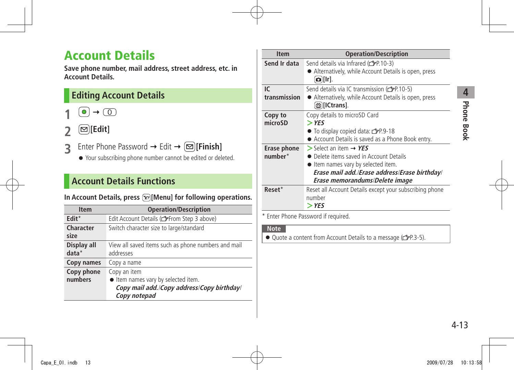# <span id="page-12-0"></span>**Account Details**

**Save phone number, mail address, street address, etc. in Account Details.**

### **Editing Account Details**

 $\bullet$   $\rightarrow$   $\circ$ 

- **2 [Edit]**
- **3** Enter Phone Password → Edit → **[Binish]** 
	- Your subscribing phone number cannot be edited or deleted.

### **Account Details Functions**

### In Account Details, press  $\boxed{\mathbf{x}}$  [Menu] for following operations.

| <b>Item</b>            | <b>Operation/Description</b>                                                                                    |
|------------------------|-----------------------------------------------------------------------------------------------------------------|
| Edit*                  | Edit Account Details (refrom Step 3 above)                                                                      |
| Character<br>size      | Switch character size to large/standard                                                                         |
| Display all<br>$data*$ | View all saved items such as phone numbers and mail<br>addresses                                                |
| Copy names             | Copy a name                                                                                                     |
| Copy phone<br>numbers  | Copy an item<br>ltem names vary by selected item.<br>Copy mail add./Copy address/Copy birthday/<br>Copy notepad |

| <b>Item</b>  | <b>Operation/Description</b>                                                    |
|--------------|---------------------------------------------------------------------------------|
| Send Ir data | Send details via Infrared (rep. 10-3)                                           |
|              | • Alternatively, while Account Details is open, press<br>$\Omega$ [Ir].         |
| IC.          | Send details via IC transmission ( $\mathcal{F}P$ -10-5)                        |
| transmission | • Alternatively, while Account Details is open, press<br>@ [ICtrans].           |
| Copy to      | Copy details to microSD Card                                                    |
| microSD      | $>$ YES                                                                         |
|              | $\bullet$ To display copied data: $\bullet$ P.9-18                              |
|              | Account Details is saved as a Phone Book entry.                                 |
| Erase phone  | $>$ Select an item $\rightarrow$ YES                                            |
| number*      | • Delete items saved in Account Details                                         |
|              | • Item names vary by selected item.                                             |
|              | Erase mail add./Erase address/Erase birthday/<br>Erase memorandums/Delete image |
| Reset*       | Reset all Account Details except your subscribing phone<br>number<br>$>$ YES    |

\* Enter Phone Password if required.

#### **Note**

● Quote a content from Account Details to a message (FP.3-5).

**Phone Book**

**Phone Book** 

**4**